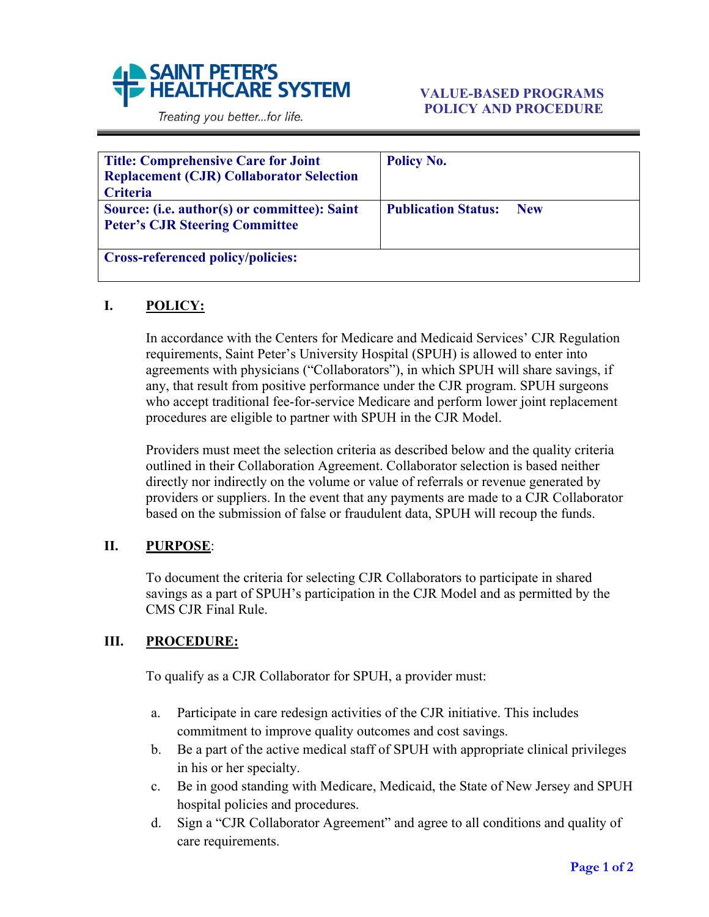

Treating you better...for life.

| <b>Title: Comprehensive Care for Joint</b><br><b>Replacement (CJR) Collaborator Selection</b><br><b>Criteria</b> | <b>Policy No.</b>                        |
|------------------------------------------------------------------------------------------------------------------|------------------------------------------|
| Source: (i.e. author(s) or committee): Saint<br><b>Peter's CJR Steering Committee</b>                            | <b>Publication Status:</b><br><b>New</b> |
| <b>Cross-referenced policy/policies:</b>                                                                         |                                          |

## **I. POLICY:**

In accordance with the Centers for Medicare and Medicaid Services' CJR Regulation requirements, Saint Peter's University Hospital (SPUH) is allowed to enter into agreements with physicians ("Collaborators"), in which SPUH will share savings, if any, that result from positive performance under the CJR program. SPUH surgeons who accept traditional fee-for-service Medicare and perform lower joint replacement procedures are eligible to partner with SPUH in the CJR Model.

Providers must meet the selection criteria as described below and the quality criteria outlined in their Collaboration Agreement. Collaborator selection is based neither directly nor indirectly on the volume or value of referrals or revenue generated by providers or suppliers. In the event that any payments are made to a CJR Collaborator based on the submission of false or fraudulent data, SPUH will recoup the funds.

## **II. PURPOSE**:

To document the criteria for selecting CJR Collaborators to participate in shared savings as a part of SPUH's participation in the CJR Model and as permitted by the CMS CJR Final Rule.

## **III. PROCEDURE:**

To qualify as a CJR Collaborator for SPUH, a provider must:

- a. Participate in care redesign activities of the CJR initiative. This includes commitment to improve quality outcomes and cost savings.
- b. Be a part of the active medical staff of SPUH with appropriate clinical privileges in his or her specialty.
- c. Be in good standing with Medicare, Medicaid, the State of New Jersey and SPUH hospital policies and procedures.
- d. Sign a "CJR Collaborator Agreement" and agree to all conditions and quality of care requirements.